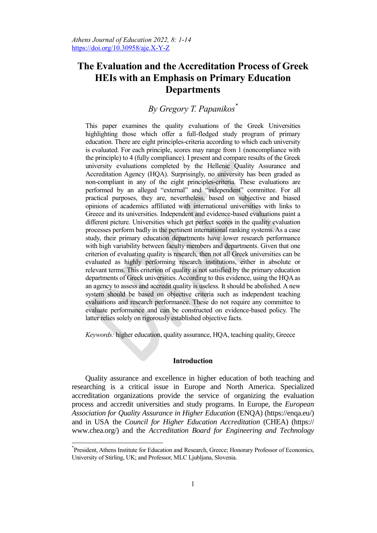# **The Evaluation and the Accreditation Process of Greek HEIs with an Emphasis on Primary Education Departments**

# *By Gregory T. Papanikos\**

This paper examines the quality evaluations of the Greek Universities highlighting those which offer a full-fledged study program of primary education. There are eight principles-criteria according to which each university is evaluated. For each principle, scores may range from 1 (noncompliance with the principle) to 4 (fully compliance). I present and compare results of the Greek university evaluations completed by the Hellenic Quality Assurance and Accreditation Agency (HQA). Surprisingly, no university has been graded as non-compliant in any of the eight principles-criteria. These evaluations are performed by an alleged "external" and "independent" committee. For all practical purposes, they are, nevertheless, based on subjective and biased opinions of academics affiliated with international universities with links to Greece and its universities. Independent and evidence-based evaluations paint a different picture. Universities which get perfect scores in the quality evaluation processes perform badly in the pertinent international ranking systems. As a case study, their primary education departments have lower research performance with high variability between faculty members and departments. Given that one criterion of evaluating quality is research, then not all Greek universities can be evaluated as highly performing research institutions, either in absolute or relevant terms. This criterion of quality is not satisfied by the primary education departments of Greek universities. According to this evidence, using the HQA as an agency to assess and accredit quality is useless. It should be abolished. A new system should be based on objective criteria such as independent teaching evaluations and research performance. These do not require any committee to evaluate performance and can be constructed on evidence-based policy. The latter relies solely on rigorously established objective facts.

*Keywords:* higher education, quality assurance, HQA, teaching quality, Greece

### **Introduction**

Quality assurance and excellence in higher education of both teaching and researching is a critical issue in Europe and North America. Specialized accreditation organizations provide the service of organizing the evaluation process and accredit universities and study programs. In Europe, the *European Association for Quality Assurance in Higher Education* (ENQA) (https://enqa.eu/) and in USA the *Council for Higher Education Accreditation* (CHEA) (https:// www.chea.org/) and the *Accreditation Board for Engineering and Technology*

 $\overline{a}$ 

<sup>\*</sup> President, Athens Institute for Education and Research, Greece; Honorary Professor of Economics, University of Stirling, UK; and Professor, MLC Ljubljana, Slovenia.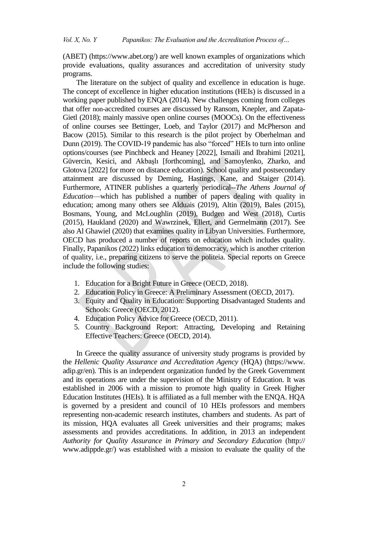(ABET) [\(https://www.abet.org/\)](https://www.abet.org/) are well known examples of organizations which provide evaluations, quality assurances and accreditation of university study programs.

The literature on the subject of quality and excellence in education is huge. The concept of excellence in higher education institutions (HEIs) is discussed in a working paper published by ENQA (2014). New challenges coming from colleges that offer non-accredited courses are discussed by Ransom, Knepler, and Zapata-Gietl (2018); mainly massive open online courses (MOOCs). On the effectiveness of online courses see Bettinger, Loeb, and Taylor (2017) and McPherson and Bacow (2015). Similar to this research is the pilot project by Oberhelman and Dunn (2019). The COVID-19 pandemic has also "forced" HEIs to turn into online options/courses (see Pinchbeck and Heaney [2022], Ismaili and Ibrahimi [2021], Güvercin, Kesici, and Akbaşlı [forthcoming], and Samoylenko, Zharko, and Glotova [2022] for more on distance education). School quality and postsecondary attainment are discussed by Deming, Hastings, Kane, and Staiger (2014). Furthermore, ATINER publishes a quarterly periodical--*The Athens Journal of Education*—which has published a number of papers dealing with quality in education; among many others see Alduais (2019), Altin (2019), Bales (2015), Bosmans, Young, and McLoughlin (2019), Budgen and West (2018), Curtis (2015), Haukland (2020) and Wawrzinek, Ellert, and Germelmann (2017). See also Al Ghawiel (2020) that examines quality in Libyan Universities. Furthermore, OECD has produced a number of reports on education which includes quality. Finally, Papanikos (2022) links education to democracy, which is another criterion of quality, i.e., preparing citizens to serve the politeia. Special reports on Greece include the following studies:

- 1. Education for a Bright Future in Greece (OECD, 2018).
- 2. Education Policy in Greece: A Preliminary Assessment (OECD, 2017).
- 3. Equity and Quality in Education: Supporting Disadvantaged Students and Schools: Greece (OECD, 2012).
- 4. Education Policy Advice for Greece (OECD, 2011).
- 5. Country Background Report: Attracting, Developing and Retaining Effective Teachers: Greece (OECD, 2014).

In Greece the quality assurance of university study programs is provided by the *Hellenic Quality Assurance and Accreditation Agency* (HQA) (https://www. adip.gr/en). This is an independent organization funded by the Greek Government and its operations are under the supervision of the Ministry of Education. It was established in 2006 with a mission to promote high quality in Greek Higher Education Institutes (HEIs). It is affiliated as a full member with the ENQA. HQA is governed by a president and council of 10 HEIs professors and members representing non-academic research institutes, chambers and students. As part of its mission, HQA evaluates all Greek universities and their programs; makes assessments and provides accreditations. In addition, in 2013 an independent *Authority for Quality Assurance in Primary and Secondary Education* (http:// www.adippde.gr/) was established with a mission to evaluate the quality of the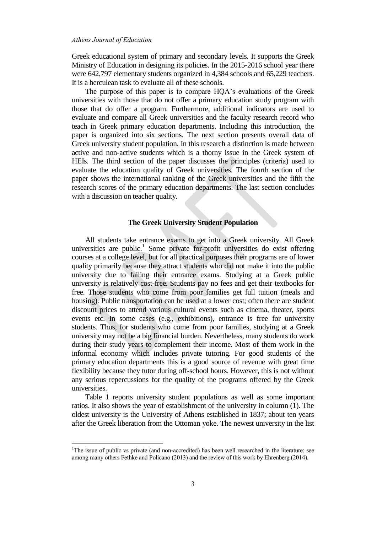$\overline{a}$ 

Greek educational system of primary and secondary levels. It supports the Greek Ministry of Education in designing its policies. In the 2015-2016 school year there were 642,797 elementary students organized in 4,384 schools and 65,229 teachers. It is a herculean task to evaluate all of these schools.

The purpose of this paper is to compare HQA's evaluations of the Greek universities with those that do not offer a primary education study program with those that do offer a program. Furthermore, additional indicators are used to evaluate and compare all Greek universities and the faculty research record who teach in Greek primary education departments. Including this introduction, the paper is organized into six sections. The next section presents overall data of Greek university student population. In this research a distinction is made between active and non-active students which is a thorny issue in the Greek system of HEIs. The third section of the paper discusses the principles (criteria) used to evaluate the education quality of Greek universities. The fourth section of the paper shows the international ranking of the Greek universities and the fifth the research scores of the primary education departments. The last section concludes with a discussion on teacher quality.

# **The Greek University Student Population**

All students take entrance exams to get into a Greek university. All Greek universities are public.<sup>1</sup> Some private for-profit universities do exist offering courses at a college level, but for all practical purposes their programs are of lower quality primarily because they attract students who did not make it into the public university due to failing their entrance exams. Studying at a Greek public university is relatively cost-free. Students pay no fees and get their textbooks for free. Those students who come from poor families get full tuition (meals and housing). Public transportation can be used at a lower cost; often there are student discount prices to attend various cultural events such as cinema, theater, sports events etc. In some cases (e.g., exhibitions), entrance is free for university students. Thus, for students who come from poor families, studying at a Greek university may not be a big financial burden. Nevertheless, many students do work during their study years to complement their income. Most of them work in the informal economy which includes private tutoring. For good students of the primary education departments this is a good source of revenue with great time flexibility because they tutor during off-school hours. However, this is not without any serious repercussions for the quality of the programs offered by the Greek universities.

Table 1 reports university student populations as well as some important ratios. It also shows the year of establishment of the university in column (1). The oldest university is the University of Athens established in 1837; about ten years after the Greek liberation from the Ottoman yoke. The newest university in the list

<sup>&</sup>lt;sup>1</sup>The issue of public vs private (and non-accredited) has been well researched in the literature; see among many others Fethke and Policano (2013) and the review of this work by Ehrenberg (2014).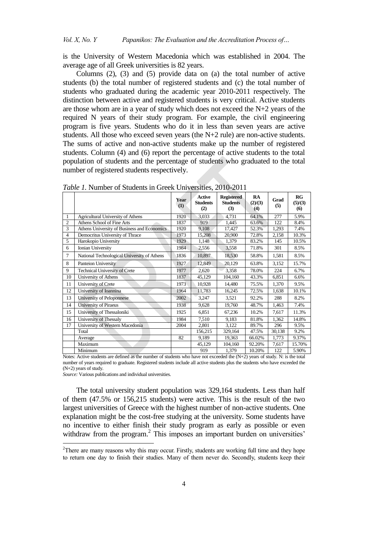is the University of Western Macedonia which was established in 2004. The average age of all Greek universities is 82 years.

Columns (2), (3) and (5) provide data on (a) the total number of active students (b) the total number of registered students and (c) the total number of students who graduated during the academic year 2010-2011 respectively. The distinction between active and registered students is very critical. Active students are those whom are in a year of study which does not exceed the N+2 years of the required N years of their study program. For example, the civil engineering program is five years. Students who do it in less than seven years are active students. All those who exceed seven years (the  $N+2$  rule) are non-active students. The sums of active and non-active students make up the number of registered students. Column (4) and (6) report the percentage of active students to the total population of students and the percentage of students who graduated to the total number of registered students respectively.

|                |                                             | Year<br>(1) | Active<br><b>Students</b><br>(2) | <b>Registered</b><br><b>Students</b><br>(3) | RA<br>(2)/(3)<br>(4) | Grad<br>(5) | RG<br>(5)/(3)<br>$\boldsymbol{\left( 6\right)}$ |
|----------------|---------------------------------------------|-------------|----------------------------------|---------------------------------------------|----------------------|-------------|-------------------------------------------------|
| 1              | Agricultural University of Athens           | 1920        | 3.033                            | 4,731                                       | 64.1%                | 277         | 5.9%                                            |
| $\overline{2}$ | Athens School of Fine Arts                  | 1837        | 919                              | 1,445                                       | 63.6%                | 122         | 8.4%                                            |
| 3              | Athens University of Business and Economics | 1920        | 9,108                            | 17,427                                      | 52.3%                | 1,293       | 7.4%                                            |
| $\overline{4}$ | Democritus University of Thrace             | 1973        | 15,208                           | 20,900                                      | 72.8%                | 2,158       | 10.3%                                           |
| 5              | Harokopio University                        | 1929        | 1,148                            | 1,379                                       | 83.2%                | 145         | 10.5%                                           |
| 6              | Ionian University                           | 1984        | 2,556                            | 3,558                                       | 71.8%                | 301         | 8.5%                                            |
| $\overline{7}$ | National Technological University of Athens | 1836        | 10,897                           | 18,530                                      | 58.8%                | 1,581       | 8.5%                                            |
| 8              | Panteion University                         | 1927        | 12,849                           | 20,129                                      | 63.8%                | 3,152       | 15.7%                                           |
| 9              | <b>Technical University of Crete</b>        | 1977        | 2,620                            | 3,358                                       | 78.0%                | 224         | 6.7%                                            |
| 10             | University of Athens                        | 1837        | 45,129                           | 104,160                                     | 43.3%                | 6,851       | 6.6%                                            |
| 11             | University of Crete                         | 1973        | 10,928                           | 14,480                                      | 75.5%                | 1,370       | 9.5%                                            |
| 12             | University of Ioannina                      | 1964        | 11,783                           | 16,245                                      | 72.5%                | 1,638       | 10.1%                                           |
| 13             | University of Peloponnese                   | 2002        | 3,247                            | 3,521                                       | 92.2%                | 288         | 8.2%                                            |
| 14             | University of Piraeus                       | 1938        | 9,628                            | 19,760                                      | 48.7%                | 1,463       | 7.4%                                            |
| 15             | University of Thessaloniki                  | 1925        | 6,851                            | 67,236                                      | 10.2%                | 7,617       | 11.3%                                           |
| 16             | University of Thessaly                      | 1984        | 7,510                            | 9,183                                       | 81.8%                | 1,362       | 14.8%                                           |
| 17             | University of Western Macedonia             | 2004        | 2,801                            | 3,122                                       | 89.7%                | 296         | 9.5%                                            |
|                | Total                                       |             | 156,215                          | 329,164                                     | 47.5%                | 30,138      | 9.2%                                            |
|                | Average                                     | 82          | 9,189                            | 19,363                                      | 66.02%               | 1,773       | 9.37%                                           |
|                | Maximum                                     |             | 45,129                           | 104,160                                     | 92.20%               | 7,617       | 15.70%                                          |
|                | Minimum                                     |             | 919                              | 1,379                                       | 10.20%               | 122         | 5.90%                                           |

*Table 1.* Number of Students in Greek Universities, 2010-2011

Notes: Active students are defined as the number of students who have not exceeded the (N+2) years of study. N: is the total number of years required to graduate. Registered students include all active students plus the students who have exceeded the (N+2) years of study.

*Source:* Various publications and individual universities.

 $\overline{a}$ 

The total university student population was 329,164 students. Less than half of them (47.5% or 156,215 students) were active. This is the result of the two largest universities of Greece with the highest number of non-active students. One explanation might be the cost-free studying at the university. Some students have no incentive to either finish their study program as early as possible or even withdraw from the program.<sup>2</sup> This imposes an important burden on universities'

<sup>&</sup>lt;sup>2</sup>There are many reasons why this may occur. Firstly, students are working full time and they hope to return one day to finish their studies. Many of them never do. Secondly, students keep their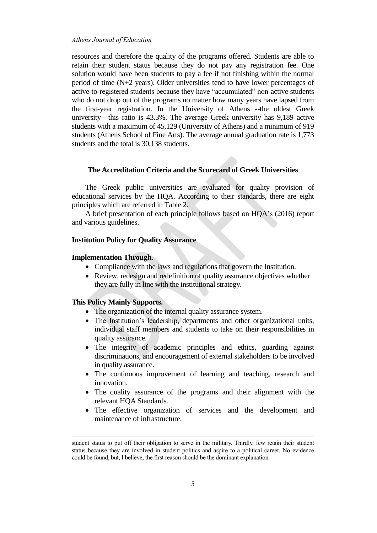resources and therefore the quality of the programs offered. Students are able to retain their student status because they do not pay any registration fee. One solution would have been students to pay a fee if not finishing within the normal period of time (N+2 years). Older universities tend to have lower percentages of active-to-registered students because they have "accumulated" non-active students who do not drop out of the programs no matter how many years have lapsed from the first-year registration. In the University of Athens --the oldest Greek university—this ratio is 43.3%. The average Greek university has 9,189 active students with a maximum of 45,129 (University of Athens) and a minimum of 919 students (Athens School of Fine Arts). The average annual graduation rate is 1,773 students and the total is 30,138 students.

## **The Accreditation Criteria and the Scorecard of Greek Universities**

The Greek public universities are evaluated for quality provision of educational services by the HQA. According to their standards, there are eight principles which are referred in Table 2.

A brief presentation of each principle follows based on HQA's (2016) report and various guidelines.

### **Institution Policy for Quality Assurance**

#### **Implementation Through.**

- Compliance with the laws and regulations that govern the Institution.
- Review, redesign and redefinition of quality assurance objectives whether they are fully in line with the institutional strategy.

### **This Policy Mainly Supports.**

1

- The organization of the internal quality assurance system.
- The Institution's leadership, departments and other organizational units, individual staff members and students to take on their responsibilities in quality assurance.
- The integrity of academic principles and ethics, guarding against discriminations, and encouragement of external stakeholders to be involved in quality assurance.
- The continuous improvement of learning and teaching, research and innovation.
- The quality assurance of the programs and their alignment with the relevant HQA Standards.
- The effective organization of services and the development and maintenance of infrastructure.

student status to put off their obligation to serve in the military. Thirdly, few retain their student status because they are involved in student politics and aspire to a political career. No evidence could be found, but, I believe, the first reason should be the dominant explanation.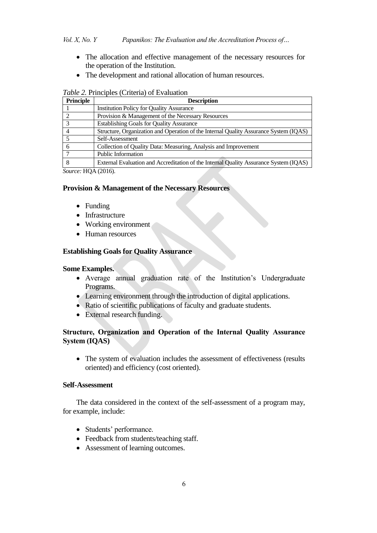- The allocation and effective management of the necessary resources for the operation of the Institution.
- The development and rational allocation of human resources.

| <b>Description</b>                                                                    |
|---------------------------------------------------------------------------------------|
| <b>Institution Policy for Quality Assurance</b>                                       |
| Provision & Management of the Necessary Resources                                     |
| <b>Establishing Goals for Quality Assurance</b>                                       |
| Structure, Organization and Operation of the Internal Quality Assurance System (IQAS) |
| Self-Assessment                                                                       |
| Collection of Quality Data: Measuring, Analysis and Improvement                       |
| <b>Public Information</b>                                                             |
| External Evaluation and Accreditation of the Internal Quality Assurance System (IQAS) |
| $\mathbf{r} \cdot \mathbf{r}$ $\mathbf{r} \cdot \mathbf{r}$                           |

*Source:* HQA (2016).

## **Provision & Management of the Necessary Resources**

- Funding
- Infrastructure
- Working environment
- Human resources

# **Establishing Goals for Quality Assurance**

## **Some Examples.**

- Average annual graduation rate of the Institution's Undergraduate Programs.
- Learning environment through the introduction of digital applications.
- Ratio of scientific publications of faculty and graduate students.
- External research funding.

# **Structure, Organization and Operation of the Internal Quality Assurance System (IQAS)**

• The system of evaluation includes the assessment of effectiveness (results oriented) and efficiency (cost oriented).

# **Self-Assessment**

The data considered in the context of the self-assessment of a program may, for example, include:

- Students' performance.
- Feedback from students/teaching staff.
- Assessment of learning outcomes.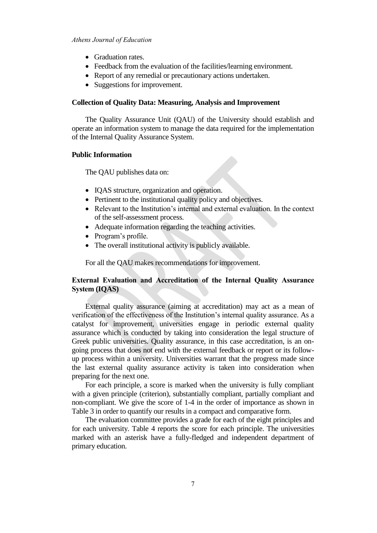- Graduation rates.
- Feedback from the evaluation of the facilities/learning environment.
- Report of any remedial or precautionary actions undertaken.
- Suggestions for improvement.

### **Collection of Quality Data: Measuring, Analysis and Improvement**

The Quality Assurance Unit (QAU) of the University should establish and operate an information system to manage the data required for the implementation of the Internal Quality Assurance System.

### **Public Information**

The QAU publishes data on:

- IQAS structure, organization and operation.
- Pertinent to the institutional quality policy and objectives.
- Relevant to the Institution's internal and external evaluation. In the context of the self-assessment process.
- Adequate information regarding the teaching activities.
- Program's profile.
- The overall institutional activity is publicly available.

For all the QAU makes recommendations for improvement.

# **External Evaluation and Accreditation of the Internal Quality Assurance System (IQAS)**

External quality assurance (aiming at accreditation) may act as a mean of verification of the effectiveness of the Institution's internal quality assurance. As a catalyst for improvement, universities engage in periodic external quality assurance which is conducted by taking into consideration the legal structure of Greek public universities. Quality assurance, in this case accreditation, is an ongoing process that does not end with the external feedback or report or its followup process within a university. Universities warrant that the progress made since the last external quality assurance activity is taken into consideration when preparing for the next one.

For each principle, a score is marked when the university is fully compliant with a given principle (criterion), substantially compliant, partially compliant and non-compliant. We give the score of 1-4 in the order of importance as shown in Table 3 in order to quantify our results in a compact and comparative form.

The evaluation committee provides a grade for each of the eight principles and for each university. Table 4 reports the score for each principle. The universities marked with an asterisk have a fully-fledged and independent department of primary education.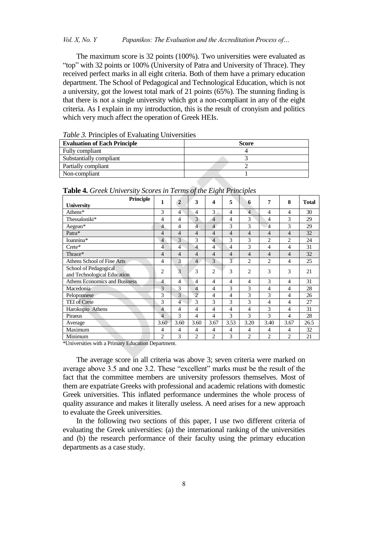## *Vol. X, No. Y Papanikos: The Evaluation and the Accreditation Process of…*

The maximum score is 32 points (100%). Two universities were evaluated as "top" with 32 points or 100% (University of Patra and University of Thrace). They received perfect marks in all eight criteria. Both of them have a primary education department. The School of Pedagogical and Technological Education, which is not a university, got the lowest total mark of 21 points (65%). The stunning finding is that there is not a single university which got a non-compliant in any of the eight criteria. As I explain in my introduction, this is the result of cronyism and politics which very much affect the operation of Greek HEIs.

*Table 3.* Principles of Evaluating Universities

| <b>Evaluation of Each Principle</b> | <b>Score</b> |
|-------------------------------------|--------------|
| Fully compliant                     |              |
| Substantially compliant             |              |
| Partially compliant                 |              |
| Non-compliant                       |              |

**Table 4.** *Greek University Scores in Terms of the Eight Principles*

| Principle                                            | 1              | $\overline{2}$ | 3              | 4              | 5                        | 6              | 7              | 8              | <b>Total</b> |
|------------------------------------------------------|----------------|----------------|----------------|----------------|--------------------------|----------------|----------------|----------------|--------------|
| <b>University</b>                                    |                |                |                |                |                          |                |                |                |              |
| Athens*                                              | 3              | 4              | 4              | 3              | $\overline{4}$           | $\overline{4}$ | 4              | 4              | 30           |
| Thessaloniki*                                        | 4              | 4              | 3              | $\overline{4}$ | 4                        | 3              | 4              | 3              | 29           |
| Aegean*                                              | $\overline{4}$ | 4              | $\overline{4}$ | $\overline{4}$ | 3                        | 3              | $\overline{4}$ | 3              | 29           |
| Patra*                                               | 4              | 4              | $\overline{4}$ | $\overline{4}$ | $\overline{4}$           | $\overline{4}$ | 4              | 4              | 32           |
| Ioannina*                                            | $\overline{4}$ | 3              | 3              | $\overline{4}$ | 3                        | 3              | 2              | $\overline{2}$ | 24           |
| $Crete^*$                                            | 4              | 4              | 4              | 4              | 4                        | 3              | 4              | 4              | 31           |
| Thrace*                                              | 4              | 4              | 4              | 4              | 4                        | 4              | 4              | 4              | 32           |
| Athens School of Fine Arts                           | 4              | 3              | 4              | 3              | $\overline{\mathcal{E}}$ | $\overline{c}$ | $\overline{c}$ | 4              | 25           |
| School of Pedagogical<br>and Technological Education | $\overline{c}$ | 3              | 3              | $\overline{2}$ | 3                        | 2              | 3              | 3              | 21           |
| <b>Athens Economics and Business</b>                 | $\overline{4}$ | 4              | 4              | 4              | 4                        | 4              | 3              | 4              | 31           |
| Macedonia                                            | 3              | 3              | 4              | 4              | 3                        | 3              | 4              | 4              | 28           |
| Peloponnese                                          | 3              | 3              | $\overline{c}$ | 4              | $\overline{4}$           | 3              | 3              | 4              | 26           |
| <b>TEI</b> of Crete                                  | 3              | 4              | 3              | 3              | 3                        | 3              | 4              | 4              | 27           |
| Harokopio Athens                                     | $\overline{4}$ | 4              | 4              | 4              | $\overline{4}$           | 4              | 3              | 4              | 31           |
| Piraeus                                              | $\overline{4}$ | 3              | 4              | 4              | 3                        | 3              | 3              | 4              | 28           |
| Average                                              | 3.60           | 3.60           | 3.60           | 3.67           | 3.53                     | 3.20           | 3.40           | 3.67           | 26.5         |
| Maximum                                              | $\overline{4}$ | 4              | 4              | $\overline{4}$ | $\overline{4}$           | 4              | 4              | $\overline{4}$ | 32           |
| Minimum                                              | 2              | 3              | $\overline{c}$ | $\overline{c}$ | 3                        | $\overline{2}$ | 2              | $\overline{c}$ | 21           |

\*Universities with a Primary Education Department.

The average score in all criteria was above 3; seven criteria were marked on average above 3.5 and one 3.2. These "excellent" marks must be the result of the fact that the committee members are university professors themselves. Most of them are expatriate Greeks with professional and academic relations with domestic Greek universities. This inflated performance undermines the whole process of quality assurance and makes it literally useless. A need arises for a new approach to evaluate the Greek universities.

In the following two sections of this paper, I use two different criteria of evaluating the Greek universities: (a) the international ranking of the universities and (b) the research performance of their faculty using the primary education departments as a case study.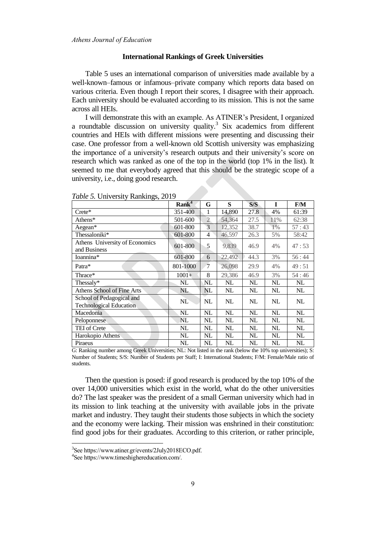#### **International Rankings of Greek Universities**

Table 5 uses an international comparison of universities made available by a well-known–famous or infamous–private company which reports data based on various criteria. Even though I report their scores, I disagree with their approach. Each university should be evaluated according to its mission. This is not the same across all HEIs.

I will demonstrate this with an example. As ATINER's President, I organized a roundtable discussion on university quality.<sup>3</sup> Six academics from different countries and HEIs with different missions were presenting and discussing their case. One professor from a well-known old Scottish university was emphasizing the importance of a university's research outputs and their university's score on research which was ranked as one of the top in the world (top 1% in the list). It seemed to me that everybody agreed that this should be the strategic scope of a university, i.e., doing good research.

|                                                             | Rank <sup>4</sup> | G              | S      | S/S           | I     | F/M   |
|-------------------------------------------------------------|-------------------|----------------|--------|---------------|-------|-------|
| $Crete^*$                                                   | 351-400           | 1              | 14,890 | 27.8          | 4%    | 61:39 |
| Athens*                                                     | 501-600           | $\overline{2}$ | 54,364 | 27.5          | 11%   | 62:38 |
| Aegean*                                                     | 601-800           | 3              | 12,352 | 38.7          | $1\%$ | 57:43 |
| Thessaloniki*                                               | 601-800           | 4              | 46,597 | 26.3          | 5%    | 58:42 |
| Athens University of Economics<br>and Business              | 601-800           | 5              | 9,839  | 46.9          | 4%    | 47:53 |
| Ioannina*                                                   | 601-800           | 6              | 22,492 | 44.3          | 3%    | 56:44 |
| Patra*                                                      | 801-1000          | 7              | 26,098 | 29.9          | 4%    | 49:51 |
| Thrace*                                                     | $1001+$           | 8              | 29,386 | 46.9          | 3%    | 54:46 |
| Thessaly*                                                   | NL                | NL             | NL     | NL            | NL    | NL    |
| Athens School of Fine Arts                                  | NL                | NL             | NL     | NL            | NL    | NL    |
| School of Pedagogical and<br><b>Technological Education</b> | NL                | NL             | NL     | NL            | NL    | NL    |
| Macedonia                                                   | NL                | NL             | NL     | NL            | NL    | NL    |
| Peloponnese                                                 | NL                | NL             | NL     | $\mathbf{NL}$ | NL    | NL    |
| <b>TEI</b> of Crete                                         | NL                | NL             | NL     | NL            | NL    | NL    |
| Harokopio Athens                                            | NL                | NL             | NL     | $\mathbf{NL}$ | NL    | NL    |
| Piraeus                                                     | NL                | NL             | NL     | NL            | NL    | NL    |

*Table 5.* University Rankings, 2019

G: Ranking number among Greek Universities; NL: Not listed in the rank (below the 10% top universities); S: Number of Students; S/S: Number of Students per Staff; I: International Students; F/M: Female/Male ratio of students.

Then the question is posed: if good research is produced by the top 10% of the over 14,000 universities which exist in the world, what do the other universities do? The last speaker was the president of a small German university which had in its mission to link teaching at the university with available jobs in the private market and industry. They taught their students those subjects in which the society and the economy were lacking. Their mission was enshrined in their constitution: find good jobs for their graduates. According to this criterion, or rather principle,

 $\overline{a}$ 

<sup>3</sup> See https://www.atiner.gr/events/2July2018ECO.pdf.

<sup>4</sup> See [https://www.timeshighereducation.com/.](https://www.timeshighereducation.com/)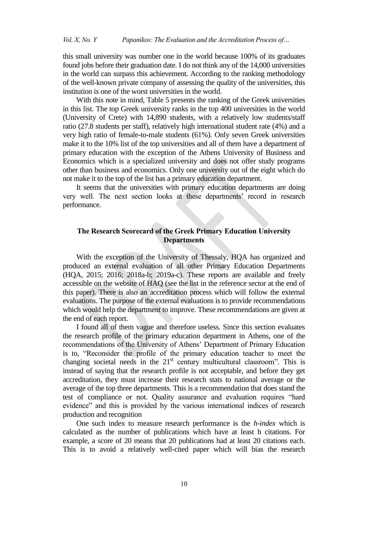this small university was number one in the world because 100% of its graduates found jobs before their graduation date. I do not think any of the 14,000 universities in the world can surpass this achievement. According to the ranking methodology of the well-known private company of assessing the quality of the universities, this institution is one of the worst universities in the world.

With this note in mind, Table 5 presents the ranking of the Greek universities in this list. The top Greek university ranks in the top 400 universities in the world (University of Crete) with 14,890 students, with a relatively low students/staff ratio (27.8 students per staff), relatively high international student rate (4%) and a very high ratio of female-to-male students (61%). Only seven Greek universities make it to the 10% list of the top universities and all of them have a department of primary education with the exception of the Athens University of Business and Economics which is a specialized university and does not offer study programs other than business and economics. Only one university out of the eight which do not make it to the top of the list has a primary education department.

It seems that the universities with primary education departments are doing very well. The next section looks at these departments' record in research performance.

# **The Research Scorecard of the Greek Primary Education University Departments**

With the exception of the University of Thessaly, HQA has organized and produced an external evaluation of all other Primary Education Departments (HQA, 2015; 2016; 2018a-b; 2019a-c). These reports are available and freely accessible on the website of HAQ (see the list in the reference sector at the end of this paper). There is also an accreditation process which will follow the external evaluations. The purpose of the external evaluations is to provide recommendations which would help the department to improve. These recommendations are given at the end of each report.

I found all of them vague and therefore useless. Since this section evaluates the research profile of the primary education department in Athens, one of the recommendations of the University of Athens' Department of Primary Education is to, "Reconsider the profile of the primary education teacher to meet the changing societal needs in the  $21<sup>st</sup>$  century multicultural classroom". This is instead of saying that the research profile is not acceptable, and before they get accreditation, they must increase their research stats to national average or the average of the top three departments. This is a recommendation that does stand the test of compliance or not. Quality assurance and evaluation requires "hard evidence" and this is provided by the various international indices of research production and recognition

One such index to measure research performance is the *h-index* which is calculated as the number of publications which have at least h citations. For example, a score of 20 means that 20 publications had at least 20 citations each. This is to avoid a relatively well-cited paper which will bias the research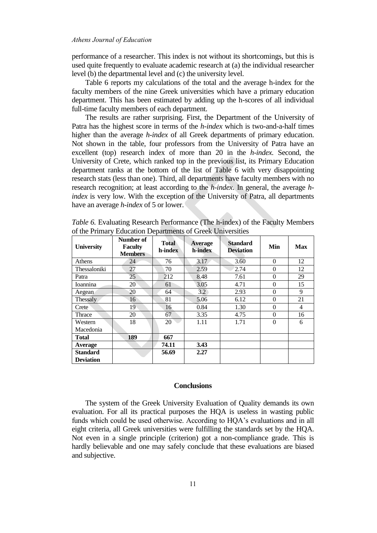performance of a researcher. This index is not without its shortcomings, but this is used quite frequently to evaluate academic research at (a) the individual researcher level (b) the departmental level and (c) the university level.

Table 6 reports my calculations of the total and the average h-index for the faculty members of the nine Greek universities which have a primary education department. This has been estimated by adding up the h-scores of all individual full-time faculty members of each department.

The results are rather surprising. First, the Department of the University of Patra has the highest score in terms of the *h-index* which is two-and-a-half times higher than the average *h-index* of all Greek departments of primary education. Not shown in the table, four professors from the University of Patra have an excellent (top) research index of more than 20 in the *h-index*. Second, the University of Crete, which ranked top in the previous list, its Primary Education department ranks at the bottom of the list of Table 6 with very disappointing research stats (less than one). Third, all departments have faculty members with no research recognition; at least according to the *h-index*. In general, the average *hindex* is very low. With the exception of the University of Patra, all departments have an average *h-index* of 5 or lower.

| Table 6. Evaluating Research Performance (The h-index) of the Faculty Members |  |  |  |  |
|-------------------------------------------------------------------------------|--|--|--|--|
| of the Primary Education Departments of Greek Universities                    |  |  |  |  |
|                                                                               |  |  |  |  |

| <b>University</b> | Number of<br><b>Faculty</b><br><b>Members</b> | <b>Total</b><br>h-index | Average<br>h-index | <b>Standard</b><br><b>Deviation</b> | Min      | <b>Max</b>     |  |
|-------------------|-----------------------------------------------|-------------------------|--------------------|-------------------------------------|----------|----------------|--|
| Athens            | 24                                            | 76                      | 3.17               | 3.60                                | $\Omega$ | 12             |  |
| Thessaloniki      | 27                                            | 70                      | 2.59               | 2.74                                | $\theta$ | 12             |  |
| Patra             | 25                                            | 212                     | 8.48               | 7.61                                | $\Omega$ | 29             |  |
| Ioannina          | 20                                            | 61                      | 3.05               | 4.71                                | $\theta$ | 15             |  |
| Aegean            | 20                                            | 64                      | 3.2                | 2.93                                | $\theta$ | 9              |  |
| Thessaly          | 16                                            | 81                      | 5.06               | 6.12                                | $\theta$ | 21             |  |
| Crete             | 19                                            | 16                      | 0.84               | 1.30                                | $\Omega$ | $\overline{4}$ |  |
| Thrace            | 20                                            | 67                      | 3.35               | 4.75                                | $\theta$ | 16             |  |
| Western           | 18                                            | 20                      | 1.11               | 1.71                                | $\theta$ | 6              |  |
| Macedonia         |                                               |                         |                    |                                     |          |                |  |
| <b>Total</b>      | 189                                           | 667                     |                    |                                     |          |                |  |
| Average           |                                               | 74.11                   | 3.43               |                                     |          |                |  |
| <b>Standard</b>   |                                               | 56.69                   | 2.27               |                                     |          |                |  |
| <b>Deviation</b>  |                                               |                         |                    |                                     |          |                |  |

### **Conclusions**

The system of the Greek University Evaluation of Quality demands its own evaluation. For all its practical purposes the HQA is useless in wasting public funds which could be used otherwise. According to HQA's evaluations and in all eight criteria, all Greek universities were fulfilling the standards set by the HQA. Not even in a single principle (criterion) got a non-compliance grade. This is hardly believable and one may safely conclude that these evaluations are biased and subjective.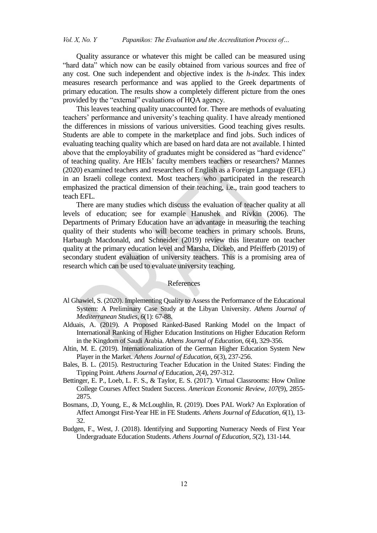Quality assurance or whatever this might be called can be measured using "hard data" which now can be easily obtained from various sources and free of any cost. One such independent and objective index is the *h-index*. This index measures research performance and was applied to the Greek departments of primary education. The results show a completely different picture from the ones provided by the "external" evaluations of HQA agency.

This leaves teaching quality unaccounted for. There are methods of evaluating teachers' performance and university's teaching quality. I have already mentioned the differences in missions of various universities. Good teaching gives results. Students are able to compete in the marketplace and find jobs. Such indices of evaluating teaching quality which are based on hard data are not available. I hinted above that the employability of graduates might be considered as "hard evidence" of teaching quality. Are HEIs' faculty members teachers or researchers? Mannes (2020) examined teachers and researchers of English as a Foreign Language (EFL) in an Israeli college context. Most teachers who participated in the research emphasized the practical dimension of their teaching, i.e., train good teachers to teach EFL.

There are many studies which discuss the evaluation of teacher quality at all levels of education; see for example Hanushek and Rivkin (2006). The Departments of Primary Education have an advantage in measuring the teaching quality of their students who will become teachers in primary schools. Bruns, Harbaugh Macdonald, and Schneider (2019) review this literature on teacher quality at the primary education level and Marsha, Dickeb, and Pfeifferb (2019) of secondary student evaluation of university teachers. This is a promising area of research which can be used to evaluate university teaching.

### References

- Al Ghawiel, S. (2020). Implementing Quality to Assess the Performance of the Educational System: A Preliminary Case Study at the Libyan University. *Athens Journal of Mediterranean Studies, 6*(1): 67-88.
- Alduais, A. (2019). A Proposed Ranked-Based Ranking Model on the Impact of International Ranking of Higher Education Institutions on Higher Education Reform in the Kingdom of Saudi Arabia. *Athens Journal of Education, 6*(4), 329-356.
- Altin, M. E. (2019). Internationalization of the German Higher Education System New Player in the Market. *Athens Journal of Education, 6*(3), 237-256.
- Bales, B. L. (2015). Restructuring Teacher Education in the United States: Finding the Tipping Point. *Athens Journal of* Education, *2*(4), 297-312.
- Bettinger, E. P., Loeb, L. F. S., & Taylor, E. S. (2017). Virtual Classrooms: How Online College Courses Affect Student Success. *American Economic Review, 107*(9), 2855- 2875.
- Bosmans, .D, Young, E., & McLoughlin, R. (2019). Does PAL Work? An Exploration of Affect Amongst First-Year HE in FE Students. *Athens Journal of Education, 6*(1), 13- 32.
- Budgen, F., West, J. (2018). Identifying and Supporting Numeracy Needs of First Year Undergraduate Education Students. *Athens Journal of Education, 5*(2), 131-144.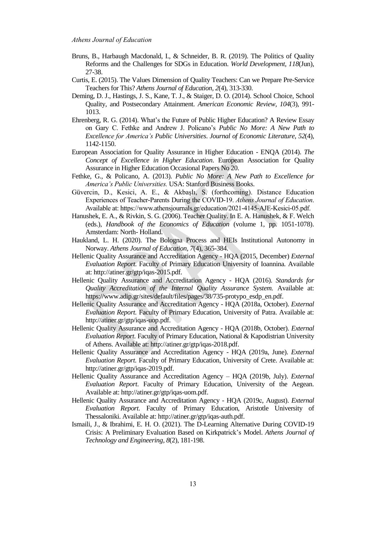- Bruns, B., Harbaugh Macdonald, I., & Schneider, B. R. (2019). The Politics of Quality Reforms and the Challenges for SDGs in Education. *World Development*, *118*(Jun), 27-38.
- Curtis, E. (2015). The Values Dimension of Quality Teachers: Can we Prepare Pre-Service Teachers for This? *Athens Journal of Education, 2*(4), 313-330.
- Deming, D. J., Hastings, J. S., Kane, T. J., & Staiger, D. O. (2014). School Choice, School Quality, and Postsecondary Attainment. *American Economic Review, 104*(3), 991- 1013.
- Ehrenberg, R. G. (2014). What's the Future of Public Higher Education? A Review Essay on Gary C. Fethke and Andrew J. Policano's *Public No More: A New Path to Excellence for America's Public Universities*. *Journal of Economic Literature*, *52*(4), 1142-1150.
- European Association for Quality Assurance in Higher Education ENQA (2014). *The Concept of Excellence in Higher Education*. European Association for Quality Assurance in Higher Education Occasional Papers No 20.
- Fethke, G., & Policano, A. (2013). *Public No More: A New Path to Excellence for America's Public Universities.* USA: Stanford Business Books.
- Güvercin, D., Kesici, A. E., & Akbaşlı, S. (forthcoming). Distance Education Experiences of Teacher-Parents During the COVID-19. *Athens Journal of Education*. Available at: https://www.athensjournals.gr/education/2021-4145-AJE-Kesici-05.pdf.
- Hanushek, E. A., & Rivkin, S. G. (2006). Teacher Quality. In E. A. Hanushek, & F. Welch (eds.), *Handbook of the Economics of Education* (volume 1, pp. 1051-1078). Amsterdam: North- Holland.
- Haukland, L. H. (2020). The Bologna Process and HEIs Institutional Autonomy in Norway. *Athens Journal of Education, 7*(4), 365-384.
- Hellenic Quality Assurance and Accreditation Agency HQA (2015, December) *External Evaluation Report.* Faculty of Primary Education University of Ioannina*.* Available at: http://atiner.gr/gtp/iqas-2015.pdf.
- Hellenic Quality Assurance and Accreditation Agency HQA (2016). *Standards for Quality Accreditation of the Internal Quality Assurance System.* Available at: https://www.adip.gr/sites/default/files/pages/38/735-protypo\_esdp\_en.pdf.
- Hellenic Quality Assurance and Accreditation Agency HQA (2018a, October). *External Evaluation Report.* Faculty of Primary Education, University of Patra. Available at: http://atiner.gr/gtp/iqas-uop.pdf.
- Hellenic Quality Assurance and Accreditation Agency HQA (2018b, October). *External Evaluation Report.* Faculty of Primary Education, National & Kapodistrian University of Athens. Available at: [http://atiner.gr/gtp/iqas-2018.pdf.](http://atiner.gr/gtp/iqas-2018.pdf)
- Hellenic Quality Assurance and Accreditation Agency HQA (2019a, June). *External Evaluation Report.* Faculty of Primary Education, University of Crete. Available at: [http://atiner.gr/gtp/iqas-2019.pdf.](http://atiner.gr/gtp/iqas-2019.pdf)
- Hellenic Quality Assurance and Accreditation Agency HQA (2019b, July). *External Evaluation Report.* Faculty of Primary Education, University of the Aegean. Available at: http://atiner.gr/gtp/iqas-uom.pdf.
- Hellenic Quality Assurance and Accreditation Agency HQA (2019c, August). *External Evaluation Report.* Faculty of Primary Education, Aristotle University of Thessaloniki. Available at[: http://atiner.gr/gtp/iqas-auth.pdf.](http://atiner.gr/gtp/iqas-auth.pdf)
- Ismaili, J., & Ibrahimi, E. H. O. (2021). The D-Learning Alternative During COVID-19 Crisis: A Preliminary Evaluation Based on Kirkpatrick's Model. *Athens Journal of Technology and Engineering, 8*(2), 181-198.